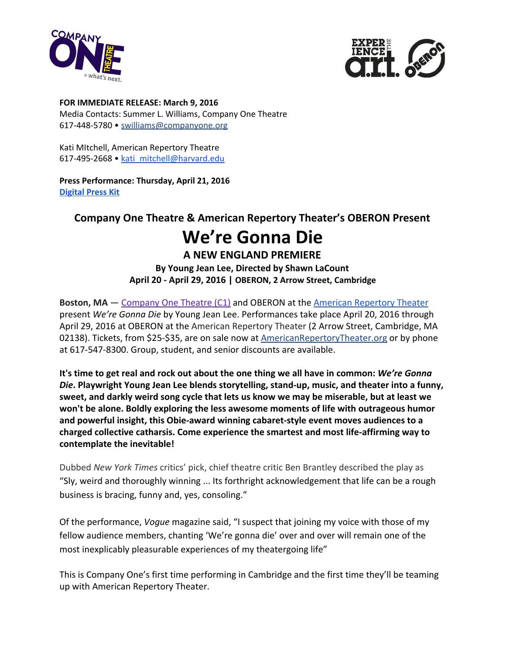



**FOR IMMEDIATE RELEASE: March 9, 2016** Media Contacts: Summer L. Williams, Company One Theatre 617‐448‐5780 • [swilliams@companyone.org](mailto:swilliams@companyone.org)

Kati MItchell, American Repertory Theatre 617-495-2668 • [kati\\_mitchell@harvard.edu](mailto:kati_mitchell@harvard.edu)

**Press Performance: Thursday, April 21, 2016 [Digital](https://drive.google.com/folderview?id=0B_5TxCvhrfENeVFLLUl0UENvbG8&usp=sharing) Press Kit**

### **Company One Theatre & American Repertory Theater's OBERON Present**

# **We're Gonna Die**

### **A NEW ENGLAND PREMIERE**

**By Young Jean Lee, Directed by Shawn LaCount April 20 ‐ April 29, 2016 | OBERON, 2 Arrow Street, Cambridge**

**Boston, MA** – [Company](https://companyone.org/) One Theatre (C1) and OBERON at the American [Repertory](http://americanrepertorytheater.org/) Theater present *We're Gonna Die* by Young Jean Lee. Performances take place April 20, 2016 through April 29, 2016 at OBERON at the American Repertory Theater (2 Arrow Street, Cambridge, MA 02138). Tickets, from \$25-\$35, are on sale now at **[AmericanRepertoryTheater.org](http://americanrepertorytheater.org/oberon)** or by phone at 617‐547‐8300. Group, student, and senior discounts are available.

**It's time to get real and rock out about the one thing we all have in common:** *We're Gonna Die***. Playwright Young Jean Lee blends storytelling, stand‐up, music, and theater into a funny, sweet, and darkly weird song cycle that lets us know we may be miserable, but at least we won't be alone. Boldly exploring the less awesome moments of life with outrageous humor and powerful insight, this Obie‐award winning cabaret‐style event moves audiences to a charged collective catharsis. Come experience the smartest and most life‐affirming way to contemplate the inevitable!**

Dubbed *New York Times* critics' pick, chief theatre critic Ben Brantley described the play as "Sly, weird and thoroughly winning ... Its forthright acknowledgement that life can be a rough business is bracing, funny and, yes, consoling."

Of the performance, *Vogue* magazine said, "I suspect that joining my voice with those of my fellow audience members, chanting 'We're gonna die' over and over will remain one of the most inexplicably pleasurable experiences of my theatergoing life"

This is Company One's first time performing in Cambridge and the first time they'll be teaming up with American Repertory Theater.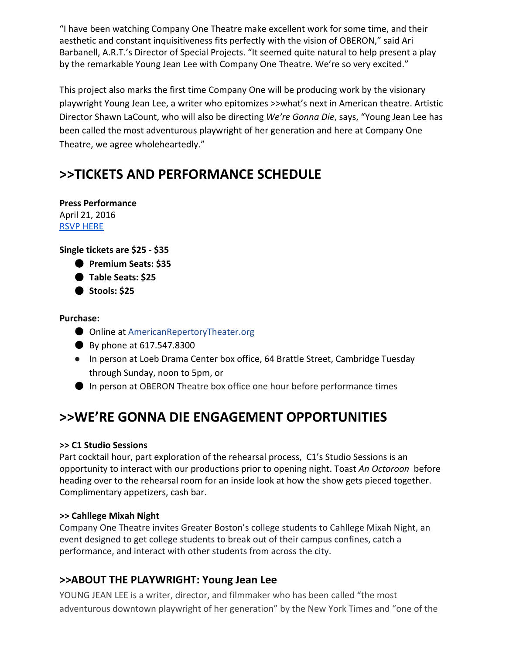"I have been watching Company One Theatre make excellent work for some time, and their aesthetic and constant inquisitiveness fits perfectly with the vision of OBERON," said Ari Barbanell, A.R.T.'s Director of Special Projects. "It seemed quite natural to help present a play by the remarkable Young Jean Lee with Company One Theatre. We're so very excited."

This project also marks the first time Company One will be producing work by the visionary playwright Young Jean Lee, a writer who epitomizes >>what's next in American theatre. Artistic Director Shawn LaCount, who will also be directing *We're Gonna Die*, says, "Young Jean Lee has been called the most adventurous playwright of her generation and here at Company One Theatre, we agree wholeheartedly."

# **>>TICKETS AND PERFORMANCE SCHEDULE**

**Press Performance** April 21, 2016 RSVP [HERE](mailto:swilliams@companyone.org)

**Single tickets are \$25 ‐ \$35**

- **Premium Seats: \$35**
- **Table Seats: \$25**
- **Stools: \$25**

#### **Purchase:**

- Online at [AmericanRepertoryTheater.org](http://americanrepertorytheater.org/oberon)
- By phone at 617.547.8300
- In person at Loeb Drama Center box office, 64 Brattle Street, Cambridge Tuesday through Sunday, noon to 5pm, or
- In person at OBERON Theatre box office one hour before performance times

### **>>WE'RE GONNA DIE ENGAGEMENT OPPORTUNITIES**

#### **>> C1 Studio Sessions**

Part cocktail hour, part exploration of the rehearsal process, C1's Studio Sessions is an opportunity to interact with our productions prior to opening night. Toast *An Octoroon* before heading over to the rehearsal room for an inside look at how the show gets pieced together. Complimentary appetizers, cash bar.

#### **>> Cahllege Mixah Night**

Company One Theatre invites Greater Boston's college students to Cahllege Mixah Night, an event designed to get college students to break out of their campus confines, catch a performance, and interact with other students from across the city.

#### **>>ABOUT THE PLAYWRIGHT: Young Jean Lee**

YOUNG JEAN LEE is a writer, director, and filmmaker who has been called "the most adventurous downtown playwright of her generation" by the New York Times and "one of the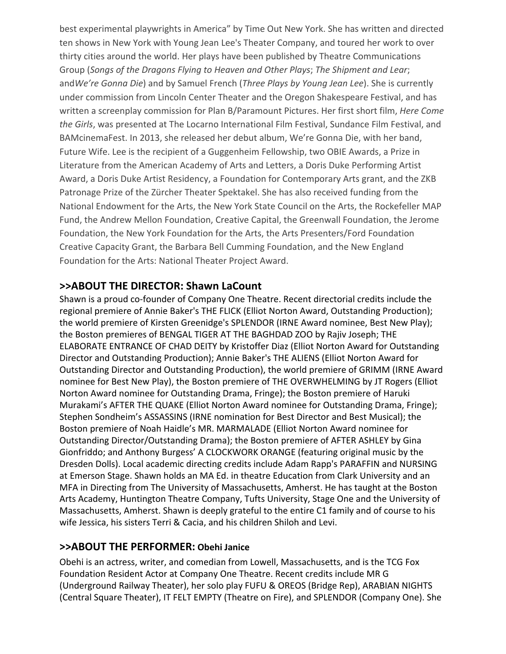best experimental playwrights in America" by Time Out New York. She has written and directed ten shows in New York with Young Jean Lee's Theater Company, and toured her work to over thirty cities around the world. Her plays have been published by Theatre Communications Group (*Songs of the Dragons Flying to Heaven and Other Plays*; *The Shipment and Lear*; and*We're Gonna Die*) and by Samuel French (*Three Plays by Young Jean Lee*). She is currently under commission from Lincoln Center Theater and the Oregon Shakespeare Festival, and has written a screenplay commission for Plan B/Paramount Pictures. Her first short film, *Here Come the Girls*, was presented at The Locarno International Film Festival, Sundance Film Festival, and BAMcinemaFest. In 2013, she released her debut album, We're Gonna Die, with her band, Future Wife. Lee is the recipient of a Guggenheim Fellowship, two OBIE Awards, a Prize in Literature from the American Academy of Arts and Letters, a Doris Duke Performing Artist Award, a Doris Duke Artist Residency, a Foundation for Contemporary Arts grant, and the ZKB Patronage Prize of the Zürcher Theater Spektakel. She has also received funding from the National Endowment for the Arts, the New York State Council on the Arts, the Rockefeller MAP Fund, the Andrew Mellon Foundation, Creative Capital, the Greenwall Foundation, the Jerome Foundation, the New York Foundation for the Arts, the Arts Presenters/Ford Foundation Creative Capacity Grant, the Barbara Bell Cumming Foundation, and the New England Foundation for the Arts: National Theater Project Award.

#### **>>ABOUT THE DIRECTOR: Shawn LaCount**

Shawn is a proud co-founder of Company One Theatre. Recent directorial credits include the regional premiere of Annie Baker's THE FLICK (Elliot Norton Award, Outstanding Production); the world premiere of Kirsten Greenidge's SPLENDOR (IRNE Award nominee, Best New Play); the Boston premieres of BENGAL TIGER AT THE BAGHDAD ZOO by Rajiv Joseph; THE ELABORATE ENTRANCE OF CHAD DEITY by Kristoffer Diaz (Elliot Norton Award for Outstanding Director and Outstanding Production); Annie Baker's THE ALIENS (Elliot Norton Award for Outstanding Director and Outstanding Production), the world premiere of GRIMM (IRNE Award nominee for Best New Play), the Boston premiere of THE OVERWHELMING by JT Rogers (Elliot Norton Award nominee for Outstanding Drama, Fringe); the Boston premiere of Haruki Murakami's AFTER THE QUAKE (Elliot Norton Award nominee for Outstanding Drama, Fringe); Stephen Sondheim's ASSASSINS (IRNE nomination for Best Director and Best Musical); the Boston premiere of Noah Haidle's MR. MARMALADE (Elliot Norton Award nominee for Outstanding Director/Outstanding Drama); the Boston premiere of AFTER ASHLEY by Gina Gionfriddo; and Anthony Burgess' A CLOCKWORK ORANGE (featuring original music by the Dresden Dolls). Local academic directing credits include Adam Rapp's PARAFFIN and NURSING at Emerson Stage. Shawn holds an MA Ed. in theatre Education from Clark University and an MFA in Directing from The University of Massachusetts, Amherst. He has taught at the Boston Arts Academy, Huntington Theatre Company, Tufts University, Stage One and the University of Massachusetts, Amherst. Shawn is deeply grateful to the entire C1 family and of course to his wife Jessica, his sisters Terri & Cacia, and his children Shiloh and Levi.

#### **>>ABOUT THE PERFORMER:Obehi Janice**

Obehi is an actress, writer, and comedian from Lowell, Massachusetts, and is the TCG Fox Foundation Resident Actor at Company One Theatre. Recent credits include MR G (Underground Railway Theater), her solo play FUFU & OREOS (Bridge Rep), ARABIAN NIGHTS (Central Square Theater), IT FELT EMPTY (Theatre on Fire), and SPLENDOR (Company One). She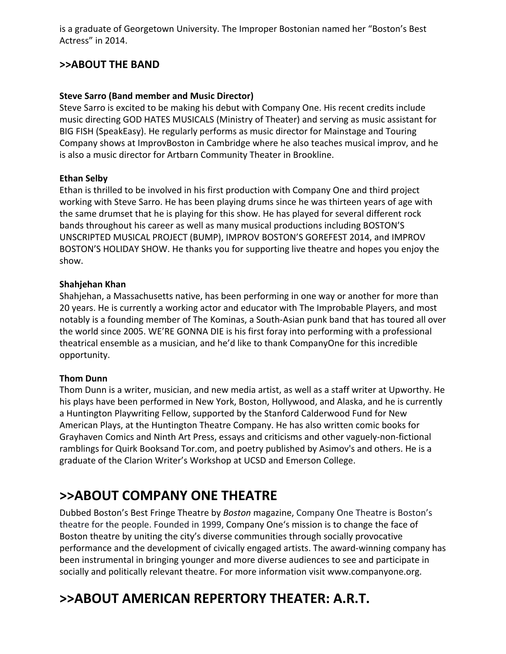is a graduate of Georgetown University. The Improper Bostonian named her "Boston's Best Actress" in 2014.

#### **>>ABOUT THE BAND**

#### **Steve Sarro (Band member and Music Director)**

Steve Sarro is excited to be making his debut with Company One. His recent credits include music directing GOD HATES MUSICALS (Ministry of Theater) and serving as music assistant for BIG FISH (SpeakEasy). He regularly performs as music director for Mainstage and Touring Company shows at ImprovBoston in Cambridge where he also teaches musical improv, and he is also a music director for Artbarn Community Theater in Brookline.

#### **Ethan Selby**

Ethan is thrilled to be involved in his first production with Company One and third project working with Steve Sarro. He has been playing drums since he was thirteen years of age with the same drumset that he is playing for this show. He has played for several different rock bands throughout his career as well as many musical productions including BOSTON'S UNSCRIPTED MUSICAL PROJECT (BUMP), IMPROV BOSTON'S GOREFEST 2014, and IMPROV BOSTON'S HOLIDAY SHOW. He thanks you for supporting live theatre and hopes you enjoy the show.

#### **Shahjehan Khan**

Shahjehan, a Massachusetts native, has been performing in one way or another for more than 20 years. He is currently a working actor and educator with The Improbable Players, and most notably is a founding member of The Kominas, a South‐Asian punk band that has toured all over the world since 2005. WE'RE GONNA DIE is his first foray into performing with a professional theatrical ensemble as a musician, and he'd like to thank CompanyOne for this incredible opportunity.

#### **Thom Dunn**

[Thom](http://www.thomdunn.net/) Dunn is a writer, musician, and new media artist, as well as a staff writer at [Upworthy.](http://www.upworthy.com/thom-dunn) He his [plays](https://www.thomdunn.info/plays/) have been performed in New York, Boston, Hollywood, and Alaska, and he is currently a [Huntington](http://www.huntingtontheatre.org/season/new-work/playwriting-fellows/) Playwriting Fellow, supported by the Stanford Calderwood Fund for New American Plays, at the Huntington Theatre Company. He has also written comic books for [Grayhaven](http://www.grayhavencomics.com/) Comics and [Ninth](http://ninthartpress.blogspot.com/2013/08/InaSingleBound2.html) Art Press, essays and criticisms and other vaguely‐non‐fictional ramblings for Quirk [Booksa](http://www.quirkbooks.com/users/thom-dunn)nd [Tor.com,](http://www.tor.com/author/thom-dunn/) and [poetry](https://www.thomdunn.info/poetry/) published by Asimov's and others. He is a graduate of the Clarion Writer's Workshop at UCSD and Emerson College.

### **>>ABOUT COMPANY ONE THEATRE**

Dubbed Boston's Best Fringe Theatre by *Boston* magazine, Company One Theatre is Boston's theatre for the people. Founded in 1999, Company One's mission is to change the face of Boston theatre by uniting the city's diverse communities through socially provocative performance and the development of civically engaged artists. The award‐winning company has been instrumental in bringing younger and more diverse audiences to see and participate in socially and politically relevant theatre. For more information visit www.companyone.org.

# **>>ABOUT AMERICAN REPERTORY THEATER: A.R.T.**